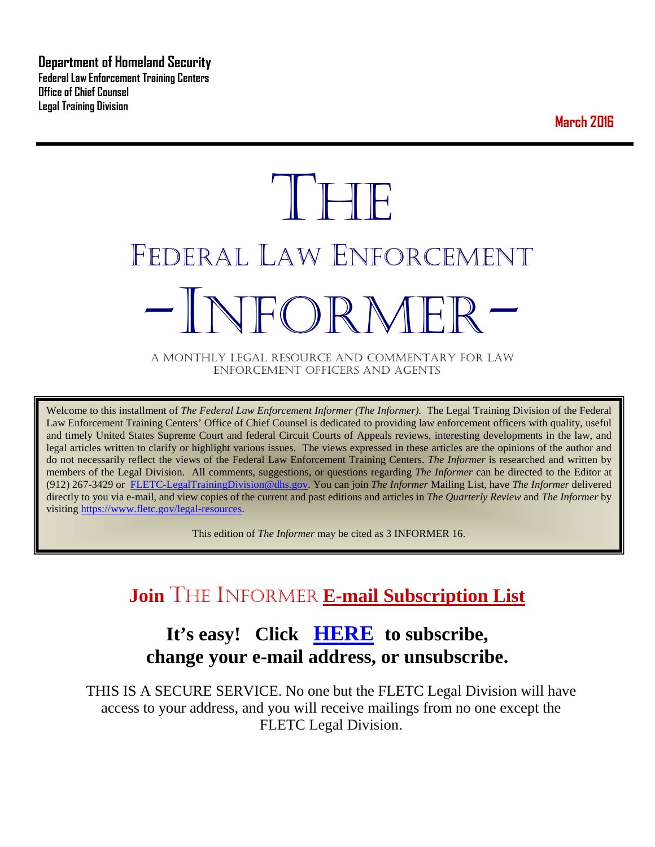**Department of Homeland Security Federal Law Enforcement Training Centers Office of Chief Counsel Legal Training Division** 

**March 2016**

# **THE** FEDERAL LAW ENFORCEMENT -INFORMER- A MONTHLY LEGAL RESOURCE AND COMMENTARY FOR LAW

ENFORCEMENT OFFICERS AND AGENTS

Welcome to this installment of *The Federal Law Enforcement Informer (The Informer).* The Legal Training Division of the Federal Law Enforcement Training Centers' Office of Chief Counsel is dedicated to providing law enforcement officers with quality, useful and timely United States Supreme Court and federal Circuit Courts of Appeals reviews, interesting developments in the law, and legal articles written to clarify or highlight various issues. The views expressed in these articles are the opinions of the author and do not necessarily reflect the views of the Federal Law Enforcement Training Centers. *The Informer* is researched and written by members of the Legal Division. All comments, suggestions, or questions regarding *The Informer* can be directed to the Editor at (912) 267-3429 or [FLETC-LegalTrainingDivision@dhs.gov.](mailto:FLETC-LegalTrainingDivision@dhs.gov) You can join *The Informer* Mailing List, have *The Informer* delivered directly to you via e-mail, and view copies of the current and past editions and articles in *The Quarterly Review* and *The Informer* by visiting [https://www.fletc.gov/legal-resources.](https://www.fletc.gov/legal-resources) 

This edition of *The Informer* may be cited as 3 INFORMER 16.

# **Join** THE INFORMER **E-mail Subscription List**

# **It's easy! Click [HERE](http://peach.ease.lsoft.com/scripts/wa.exe?SUBED1=fletclgd&A=1) to subscribe, change your e-mail address, or unsubscribe.**

THIS IS A SECURE SERVICE. No one but the FLETC Legal Division will have access to your address, and you will receive mailings from no one except the FLETC Legal Division.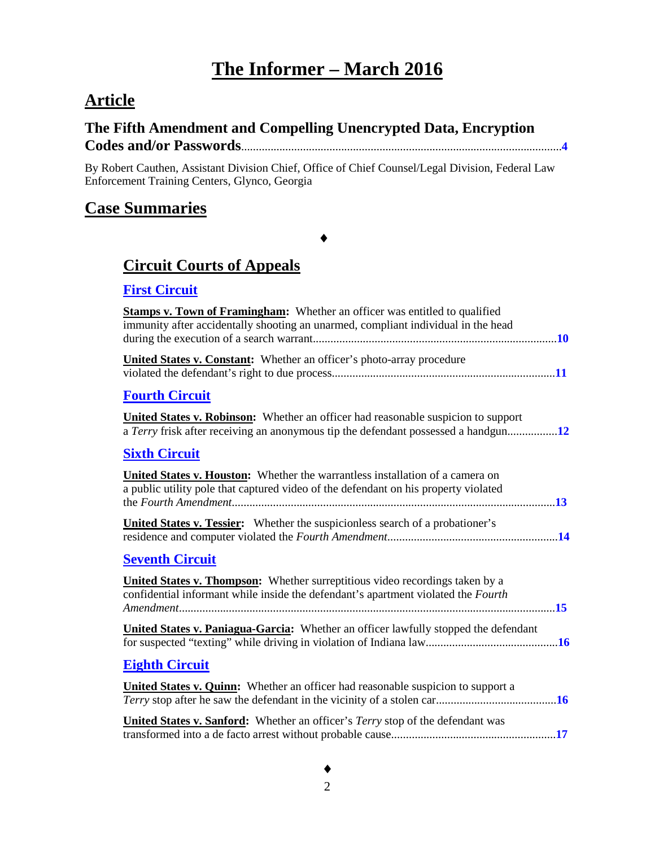# **The Informer – March 2016**

# **Article**

#### **The Fifth Amendment and Compelling Unencrypted Data, Encryption Codes and/or Passwords**.............................................................................................................**[4](#page-3-0)**

By Robert Cauthen, Assistant Division Chief, Office of Chief Counsel/Legal Division, Federal Law Enforcement Training Centers, Glynco, Georgia

### **Case Summaries**

#### ♦

# **[Circuit Courts of Appeals](#page-9-0)**

#### **[First Circuit](#page-9-1)**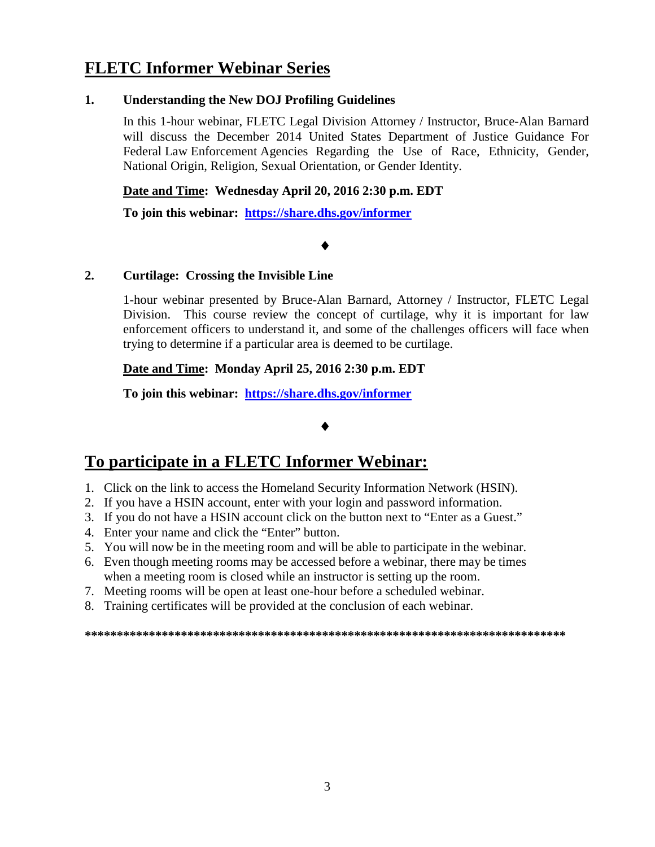# **FLETC Informer Webinar Series**

#### **1. Understanding the New DOJ Profiling Guidelines**

In this 1-hour webinar, FLETC Legal Division Attorney / Instructor, Bruce-Alan Barnard will discuss the December 2014 United States Department of Justice Guidance For Federal Law Enforcement Agencies Regarding the Use of Race, Ethnicity, Gender, National Origin, Religion, Sexual Orientation, or Gender Identity.

#### **Date and Time: Wednesday April 20, 2016 2:30 p.m. EDT**

**To join this webinar: <https://share.dhs.gov/informer>**

#### ♦

#### **2. Curtilage: Crossing the Invisible Line**

1-hour webinar presented by Bruce-Alan Barnard, Attorney / Instructor, FLETC Legal Division. This course review the concept of curtilage, why it is important for law enforcement officers to understand it, and some of the challenges officers will face when trying to determine if a particular area is deemed to be curtilage.

**Date and Time: Monday April 25, 2016 2:30 p.m. EDT**

**To join this webinar: <https://share.dhs.gov/informer>**

#### ♦

# **To participate in a FLETC Informer Webinar:**

- 1. Click on the link to access the Homeland Security Information Network (HSIN).
- 2. If you have a HSIN account, enter with your login and password information.
- 3. If you do not have a HSIN account click on the button next to "Enter as a Guest."
- 4. Enter your name and click the "Enter" button.
- 5. You will now be in the meeting room and will be able to participate in the webinar.
- 6. Even though meeting rooms may be accessed before a webinar, there may be times when a meeting room is closed while an instructor is setting up the room.
- 7. Meeting rooms will be open at least one-hour before a scheduled webinar.
- 8. Training certificates will be provided at the conclusion of each webinar.

**\*\*\*\*\*\*\*\*\*\*\*\*\*\*\*\*\*\*\*\*\*\*\*\*\*\*\*\*\*\*\*\*\*\*\*\*\*\*\*\*\*\*\*\*\*\*\*\*\*\*\*\*\*\*\*\*\*\*\*\*\*\*\*\*\*\*\*\*\*\*\*\*\*\*\***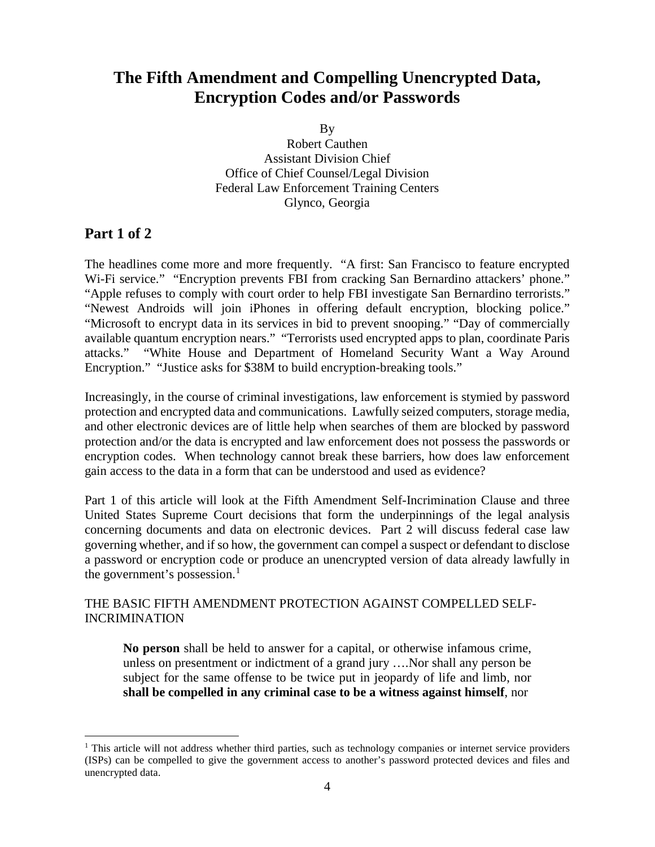# <span id="page-3-0"></span>**The Fifth Amendment and Compelling Unencrypted Data, Encryption Codes and/or Passwords**

By

Robert Cauthen Assistant Division Chief Office of Chief Counsel/Legal Division Federal Law Enforcement Training Centers Glynco, Georgia

#### **Part 1 of 2**

The headlines come more and more frequently. "A first: San Francisco to feature encrypted Wi-Fi service." "Encryption prevents FBI from cracking San Bernardino attackers' phone." "Apple refuses to comply with court order to help FBI investigate San Bernardino terrorists." "Newest Androids will join iPhones in offering default encryption, blocking police." "Microsoft to encrypt data in its services in bid to prevent snooping." "Day of commercially available quantum encryption nears." "Terrorists used encrypted apps to plan, coordinate Paris attacks." "White House and Department of Homeland Security Want a Way Around Encryption." "Justice asks for \$38M to build encryption-breaking tools."

Increasingly, in the course of criminal investigations, law enforcement is stymied by password protection and encrypted data and communications. Lawfully seized computers, storage media, and other electronic devices are of little help when searches of them are blocked by password protection and/or the data is encrypted and law enforcement does not possess the passwords or encryption codes. When technology cannot break these barriers, how does law enforcement gain access to the data in a form that can be understood and used as evidence?

Part 1 of this article will look at the Fifth Amendment Self-Incrimination Clause and three United States Supreme Court decisions that form the underpinnings of the legal analysis concerning documents and data on electronic devices. Part 2 will discuss federal case law governing whether, and if so how, the government can compel a suspect or defendant to disclose a password or encryption code or produce an unencrypted version of data already lawfully in the government's possession. $<sup>1</sup>$  $<sup>1</sup>$  $<sup>1</sup>$ </sup>

#### THE BASIC FIFTH AMENDMENT PROTECTION AGAINST COMPELLED SELF-INCRIMINATION

**No person** shall be held to answer for a capital, or otherwise infamous crime, unless on presentment or indictment of a grand jury ….Nor shall any person be subject for the same offense to be twice put in jeopardy of life and limb, nor **shall be compelled in any criminal case to be a witness against himself**, nor

<span id="page-3-1"></span> $1$  This article will not address whether third parties, such as technology companies or internet service providers (ISPs) can be compelled to give the government access to another's password protected devices and files and unencrypted data.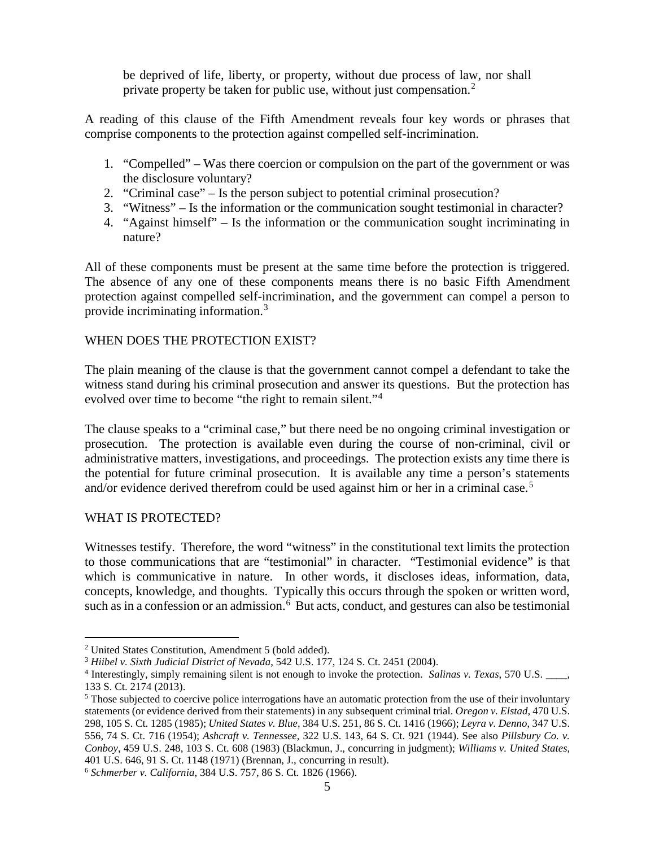be deprived of life, liberty, or property, without due process of law, nor shall private property be taken for public use, without just compensation.<sup>[2](#page-4-0)</sup>

A reading of this clause of the Fifth Amendment reveals four key words or phrases that comprise components to the protection against compelled self-incrimination.

- 1. "Compelled" Was there coercion or compulsion on the part of the government or was the disclosure voluntary?
- 2. "Criminal case" Is the person subject to potential criminal prosecution?
- 3. "Witness" Is the information or the communication sought testimonial in character?
- 4. "Against himself" Is the information or the communication sought incriminating in nature?

All of these components must be present at the same time before the protection is triggered. The absence of any one of these components means there is no basic Fifth Amendment protection against compelled self-incrimination, and the government can compel a person to provide incriminating information.[3](#page-4-1)

#### WHEN DOES THE PROTECTION EXIST?

The plain meaning of the clause is that the government cannot compel a defendant to take the witness stand during his criminal prosecution and answer its questions. But the protection has evolved over time to become "the right to remain silent."<sup>[4](#page-4-2)</sup>

The clause speaks to a "criminal case," but there need be no ongoing criminal investigation or prosecution. The protection is available even during the course of non-criminal, civil or administrative matters, investigations, and proceedings. The protection exists any time there is the potential for future criminal prosecution. It is available any time a person's statements and/or evidence derived therefrom could be used against him or her in a criminal case.<sup>[5](#page-4-3)</sup>

#### WHAT IS PROTECTED?

Witnesses testify. Therefore, the word "witness" in the constitutional text limits the protection to those communications that are "testimonial" in character. "Testimonial evidence" is that which is communicative in nature. In other words, it discloses ideas, information, data, concepts, knowledge, and thoughts. Typically this occurs through the spoken or written word, such as in a confession or an admission.<sup>[6](#page-4-4)</sup> But acts, conduct, and gestures can also be testimonial

<span id="page-4-0"></span> <sup>2</sup> United States Constitution, Amendment 5 (bold added).

<span id="page-4-1"></span><sup>3</sup> *Hiibel v. Sixth Judicial District of Nevada*, 542 U.S. 177, 124 S. Ct. 2451 (2004).

<span id="page-4-2"></span><sup>4</sup> Interestingly, simply remaining silent is not enough to invoke the protection. *Salinas v. Texas*, 570 U.S. \_\_\_\_, 133 S. Ct. 2174 (2013).

<span id="page-4-3"></span><sup>&</sup>lt;sup>5</sup> Those subjected to coercive police interrogations have an automatic protection from the use of their involuntary statements (or evidence derived from their statements) in any subsequent criminal trial. *Oregon v. Elstad*, 470 U.S. 298, 105 S. Ct. 1285 (1985); *United States v. Blue*, 384 U.S. 251, 86 S. Ct. 1416 (1966); *Leyra v. Denno*, 347 U.S. 556, 74 S. Ct. 716 (1954); *Ashcraft v. Tennessee*, 322 U.S. 143, 64 S. Ct. 921 (1944). See also *Pillsbury Co. v. Conboy*, 459 U.S. 248, 103 S. Ct. 608 (1983) (Blackmun, J., concurring in judgment); *Williams v. United States*, 401 U.S. 646, 91 S. Ct. 1148 (1971) (Brennan, J., concurring in result).

<span id="page-4-4"></span><sup>6</sup> *Schmerber v. California*, 384 U.S. 757, 86 S. Ct. 1826 (1966).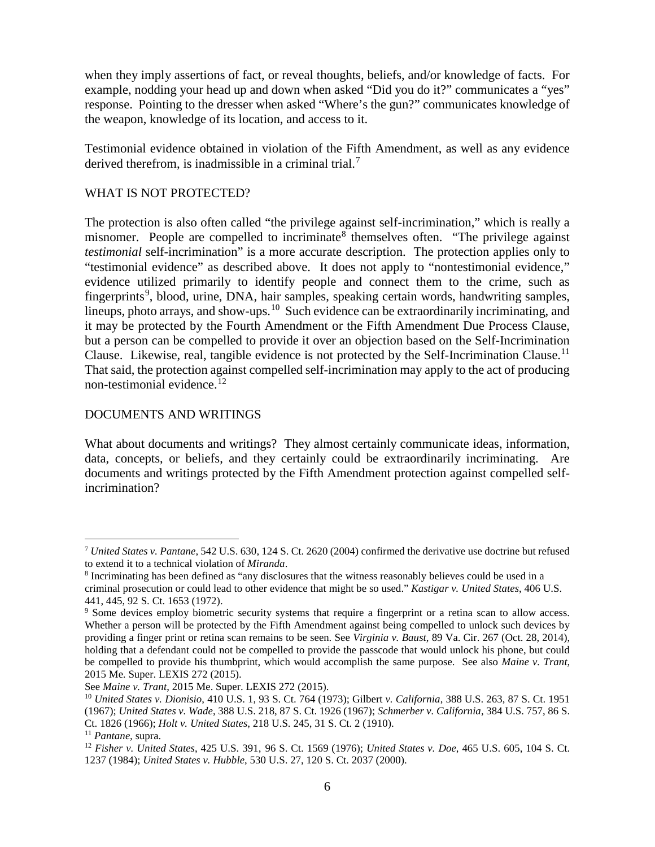when they imply assertions of fact, or reveal thoughts, beliefs, and/or knowledge of facts. For example, nodding your head up and down when asked "Did you do it?" communicates a "yes" response. Pointing to the dresser when asked "Where's the gun?" communicates knowledge of the weapon, knowledge of its location, and access to it.

Testimonial evidence obtained in violation of the Fifth Amendment, as well as any evidence derived therefrom, is inadmissible in a criminal trial.<sup>[7](#page-5-0)</sup>

#### WHAT IS NOT PROTECTED?

The protection is also often called "the privilege against self-incrimination," which is really a misnomer. People are compelled to incriminate<sup>[8](#page-5-1)</sup> themselves often. "The privilege against *testimonial* self-incrimination" is a more accurate description. The protection applies only to "testimonial evidence" as described above. It does not apply to "nontestimonial evidence," evidence utilized primarily to identify people and connect them to the crime, such as fingerprints<sup>[9](#page-5-2)</sup>, blood, urine, DNA, hair samples, speaking certain words, handwriting samples, lineups, photo arrays, and show-ups.<sup>10</sup> Such evidence can be extraordinarily incriminating, and it may be protected by the Fourth Amendment or the Fifth Amendment Due Process Clause, but a person can be compelled to provide it over an objection based on the Self-Incrimination Clause. Likewise, real, tangible evidence is not protected by the Self-Incrimination Clause.<sup>11</sup> That said, the protection against compelled self-incrimination may apply to the act of producing non-testimonial evidence.<sup>[12](#page-5-5)</sup>

#### DOCUMENTS AND WRITINGS

What about documents and writings? They almost certainly communicate ideas, information, data, concepts, or beliefs, and they certainly could be extraordinarily incriminating. Are documents and writings protected by the Fifth Amendment protection against compelled selfincrimination?

<span id="page-5-0"></span> <sup>7</sup> *United States v. Pantane*, 542 U.S. 630, 124 S. Ct. 2620 (2004) confirmed the derivative use doctrine but refused to extend it to a technical violation of *Miranda*.

<span id="page-5-1"></span><sup>8</sup> Incriminating has been defined as "any disclosures that the witness reasonably believes could be used in a criminal prosecution or could lead to other evidence that might be so used." *Kastigar v. United States*, 406 U.S. 441, 445, 92 S. Ct. 1653 (1972).

<span id="page-5-2"></span><sup>9</sup> Some devices employ biometric security systems that require a fingerprint or a retina scan to allow access. Whether a person will be protected by the Fifth Amendment against being compelled to unlock such devices by providing a finger print or retina scan remains to be seen. See *Virginia v. Baust*, 89 Va. Cir. 267 (Oct. 28, 2014), holding that a defendant could not be compelled to provide the passcode that would unlock his phone, but could be compelled to provide his thumbprint, which would accomplish the same purpose. See also *Maine v. Trant*, 2015 Me. Super. LEXIS 272 (2015).

See *Maine v. Trant*, 2015 Me. Super. LEXIS 272 (2015).

<span id="page-5-3"></span><sup>10</sup> *United States v. Dionisio*, 410 U.S. 1, 93 S. Ct. 764 (1973); Gilbert *v. California*, 388 U.S. 263, 87 S. Ct. 1951 (1967); *United States v. Wade*, 388 U.S. 218, 87 S. Ct. 1926 (1967); *Schmerber v. California*, 384 U.S. 757, 86 S. Ct. 1826 (1966); *Holt v. United States*, 218 U.S. 245, 31 S. Ct. 2 (1910).

<span id="page-5-4"></span><sup>11</sup> *Pantane,* supra.

<span id="page-5-5"></span><sup>12</sup> *Fisher v. United States*, 425 U.S. 391, 96 S. Ct. 1569 (1976); *United States v. Doe*, 465 U.S. 605, 104 S. Ct. 1237 (1984); *United States v. Hubble*, 530 U.S. 27, 120 S. Ct. 2037 (2000).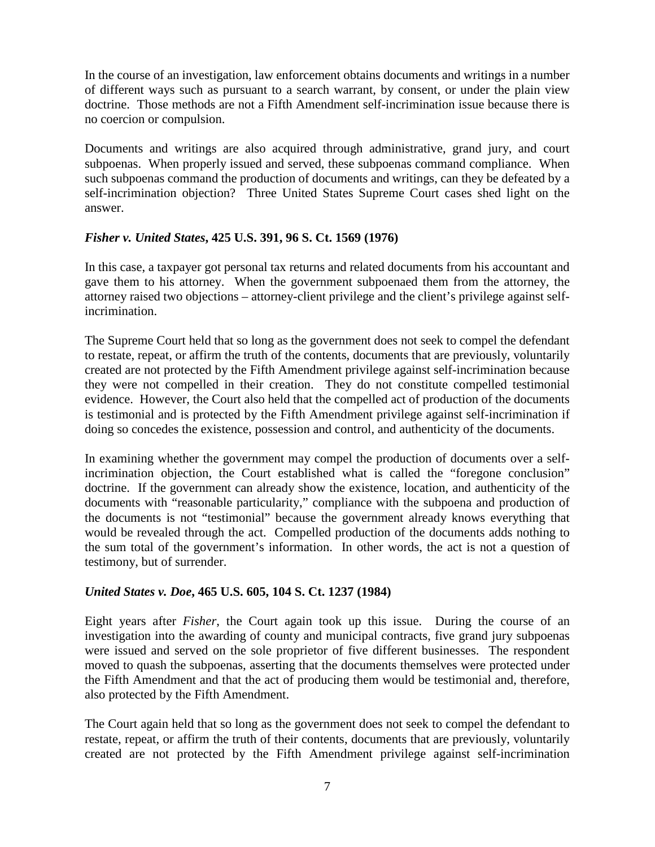In the course of an investigation, law enforcement obtains documents and writings in a number of different ways such as pursuant to a search warrant, by consent, or under the plain view doctrine. Those methods are not a Fifth Amendment self-incrimination issue because there is no coercion or compulsion.

Documents and writings are also acquired through administrative, grand jury, and court subpoenas. When properly issued and served, these subpoenas command compliance. When such subpoenas command the production of documents and writings, can they be defeated by a self-incrimination objection? Three United States Supreme Court cases shed light on the answer.

#### *Fisher v. United States***, 425 U.S. 391, 96 S. Ct. 1569 (1976)**

In this case, a taxpayer got personal tax returns and related documents from his accountant and gave them to his attorney. When the government subpoenaed them from the attorney, the attorney raised two objections – attorney-client privilege and the client's privilege against selfincrimination.

The Supreme Court held that so long as the government does not seek to compel the defendant to restate, repeat, or affirm the truth of the contents, documents that are previously, voluntarily created are not protected by the Fifth Amendment privilege against self-incrimination because they were not compelled in their creation. They do not constitute compelled testimonial evidence. However, the Court also held that the compelled act of production of the documents is testimonial and is protected by the Fifth Amendment privilege against self-incrimination if doing so concedes the existence, possession and control, and authenticity of the documents.

In examining whether the government may compel the production of documents over a selfincrimination objection, the Court established what is called the "foregone conclusion" doctrine. If the government can already show the existence, location, and authenticity of the documents with "reasonable particularity," compliance with the subpoena and production of the documents is not "testimonial" because the government already knows everything that would be revealed through the act. Compelled production of the documents adds nothing to the sum total of the government's information. In other words, the act is not a question of testimony, but of surrender.

#### *United States v. Doe***, 465 U.S. 605, 104 S. Ct. 1237 (1984)**

Eight years after *Fisher*, the Court again took up this issue. During the course of an investigation into the awarding of county and municipal contracts, five grand jury subpoenas were issued and served on the sole proprietor of five different businesses. The respondent moved to quash the subpoenas, asserting that the documents themselves were protected under the Fifth Amendment and that the act of producing them would be testimonial and, therefore, also protected by the Fifth Amendment.

The Court again held that so long as the government does not seek to compel the defendant to restate, repeat, or affirm the truth of their contents, documents that are previously, voluntarily created are not protected by the Fifth Amendment privilege against self-incrimination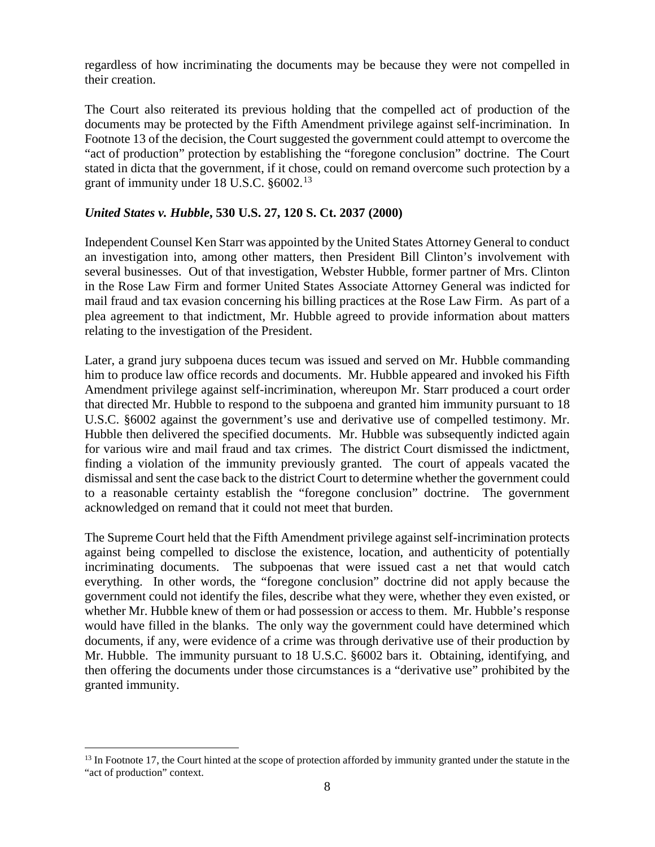regardless of how incriminating the documents may be because they were not compelled in their creation.

The Court also reiterated its previous holding that the compelled act of production of the documents may be protected by the Fifth Amendment privilege against self-incrimination. In Footnote 13 of the decision, the Court suggested the government could attempt to overcome the "act of production" protection by establishing the "foregone conclusion" doctrine. The Court stated in dicta that the government, if it chose, could on remand overcome such protection by a grant of immunity under 18 U.S.C. §6002.<sup>[13](#page-7-0)</sup>

#### *United States v. Hubble***, 530 U.S. 27, 120 S. Ct. 2037 (2000)**

Independent Counsel Ken Starr was appointed by the United States Attorney General to conduct an investigation into, among other matters, then President Bill Clinton's involvement with several businesses. Out of that investigation, Webster Hubble, former partner of Mrs. Clinton in the Rose Law Firm and former United States Associate Attorney General was indicted for mail fraud and tax evasion concerning his billing practices at the Rose Law Firm. As part of a plea agreement to that indictment, Mr. Hubble agreed to provide information about matters relating to the investigation of the President.

Later, a grand jury subpoena duces tecum was issued and served on Mr. Hubble commanding him to produce law office records and documents. Mr. Hubble appeared and invoked his Fifth Amendment privilege against self-incrimination, whereupon Mr. Starr produced a court order that directed Mr. Hubble to respond to the subpoena and granted him immunity pursuant to 18 U.S.C. §6002 against the government's use and derivative use of compelled testimony. Mr. Hubble then delivered the specified documents. Mr. Hubble was subsequently indicted again for various wire and mail fraud and tax crimes. The district Court dismissed the indictment, finding a violation of the immunity previously granted. The court of appeals vacated the dismissal and sent the case back to the district Court to determine whether the government could to a reasonable certainty establish the "foregone conclusion" doctrine. The government acknowledged on remand that it could not meet that burden.

The Supreme Court held that the Fifth Amendment privilege against self-incrimination protects against being compelled to disclose the existence, location, and authenticity of potentially incriminating documents. The subpoenas that were issued cast a net that would catch everything. In other words, the "foregone conclusion" doctrine did not apply because the government could not identify the files, describe what they were, whether they even existed, or whether Mr. Hubble knew of them or had possession or access to them. Mr. Hubble's response would have filled in the blanks. The only way the government could have determined which documents, if any, were evidence of a crime was through derivative use of their production by Mr. Hubble. The immunity pursuant to 18 U.S.C. §6002 bars it. Obtaining, identifying, and then offering the documents under those circumstances is a "derivative use" prohibited by the granted immunity.

<span id="page-7-0"></span><sup>&</sup>lt;sup>13</sup> In Footnote 17, the Court hinted at the scope of protection afforded by immunity granted under the statute in the "act of production" context.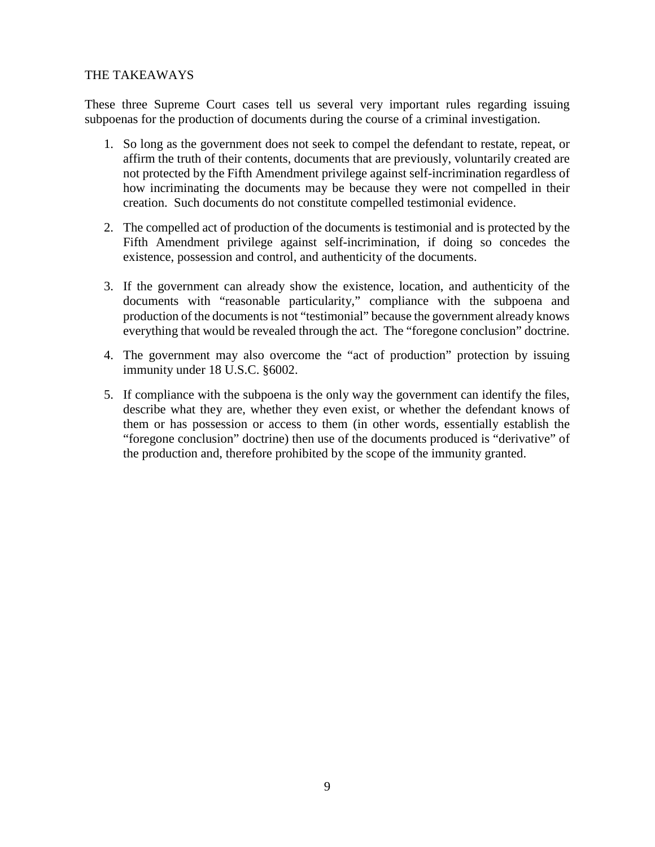#### THE TAKEAWAYS

These three Supreme Court cases tell us several very important rules regarding issuing subpoenas for the production of documents during the course of a criminal investigation.

- 1. So long as the government does not seek to compel the defendant to restate, repeat, or affirm the truth of their contents, documents that are previously, voluntarily created are not protected by the Fifth Amendment privilege against self-incrimination regardless of how incriminating the documents may be because they were not compelled in their creation. Such documents do not constitute compelled testimonial evidence.
- 2. The compelled act of production of the documents is testimonial and is protected by the Fifth Amendment privilege against self-incrimination, if doing so concedes the existence, possession and control, and authenticity of the documents.
- 3. If the government can already show the existence, location, and authenticity of the documents with "reasonable particularity," compliance with the subpoena and production of the documents is not "testimonial" because the government already knows everything that would be revealed through the act. The "foregone conclusion" doctrine.
- 4. The government may also overcome the "act of production" protection by issuing immunity under 18 U.S.C. §6002.
- 5. If compliance with the subpoena is the only way the government can identify the files, describe what they are, whether they even exist, or whether the defendant knows of them or has possession or access to them (in other words, essentially establish the "foregone conclusion" doctrine) then use of the documents produced is "derivative" of the production and, therefore prohibited by the scope of the immunity granted.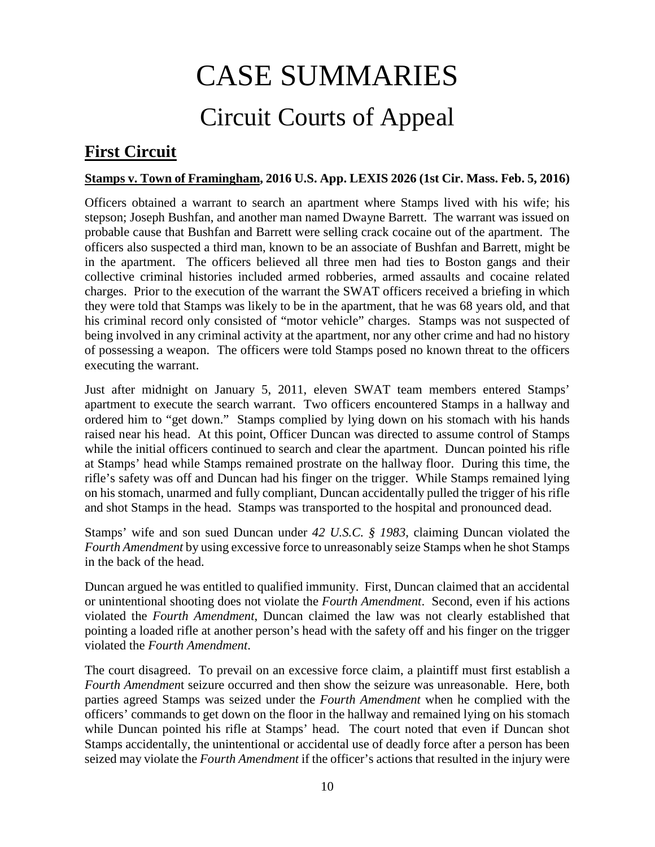# CASE SUMMARIES Circuit Courts of Appeal

# <span id="page-9-1"></span><span id="page-9-0"></span>**First Circuit**

#### <span id="page-9-2"></span>**Stamps v. Town of Framingham, 2016 U.S. App. LEXIS 2026 (1st Cir. Mass. Feb. 5, 2016)**

Officers obtained a warrant to search an apartment where Stamps lived with his wife; his stepson; Joseph Bushfan, and another man named Dwayne Barrett. The warrant was issued on probable cause that Bushfan and Barrett were selling crack cocaine out of the apartment. The officers also suspected a third man, known to be an associate of Bushfan and Barrett, might be in the apartment. The officers believed all three men had ties to Boston gangs and their collective criminal histories included armed robberies, armed assaults and cocaine related charges. Prior to the execution of the warrant the SWAT officers received a briefing in which they were told that Stamps was likely to be in the apartment, that he was 68 years old, and that his criminal record only consisted of "motor vehicle" charges. Stamps was not suspected of being involved in any criminal activity at the apartment, nor any other crime and had no history of possessing a weapon. The officers were told Stamps posed no known threat to the officers executing the warrant.

Just after midnight on January 5, 2011, eleven SWAT team members entered Stamps' apartment to execute the search warrant. Two officers encountered Stamps in a hallway and ordered him to "get down." Stamps complied by lying down on his stomach with his hands raised near his head. At this point, Officer Duncan was directed to assume control of Stamps while the initial officers continued to search and clear the apartment. Duncan pointed his rifle at Stamps' head while Stamps remained prostrate on the hallway floor. During this time, the rifle's safety was off and Duncan had his finger on the trigger. While Stamps remained lying on his stomach, unarmed and fully compliant, Duncan accidentally pulled the trigger of his rifle and shot Stamps in the head. Stamps was transported to the hospital and pronounced dead.

Stamps' wife and son sued Duncan under *42 U.S.C. § 1983*, claiming Duncan violated the *Fourth Amendment* by using excessive force to unreasonably seize Stamps when he shot Stamps in the back of the head.

Duncan argued he was entitled to qualified immunity. First, Duncan claimed that an accidental or unintentional shooting does not violate the *Fourth Amendment*. Second, even if his actions violated the *Fourth Amendment*, Duncan claimed the law was not clearly established that pointing a loaded rifle at another person's head with the safety off and his finger on the trigger violated the *Fourth Amendment*.

The court disagreed. To prevail on an excessive force claim, a plaintiff must first establish a *Fourth Amendmen*t seizure occurred and then show the seizure was unreasonable. Here, both parties agreed Stamps was seized under the *Fourth Amendment* when he complied with the officers' commands to get down on the floor in the hallway and remained lying on his stomach while Duncan pointed his rifle at Stamps' head. The court noted that even if Duncan shot Stamps accidentally, the unintentional or accidental use of deadly force after a person has been seized may violate the *Fourth Amendment* if the officer's actions that resulted in the injury were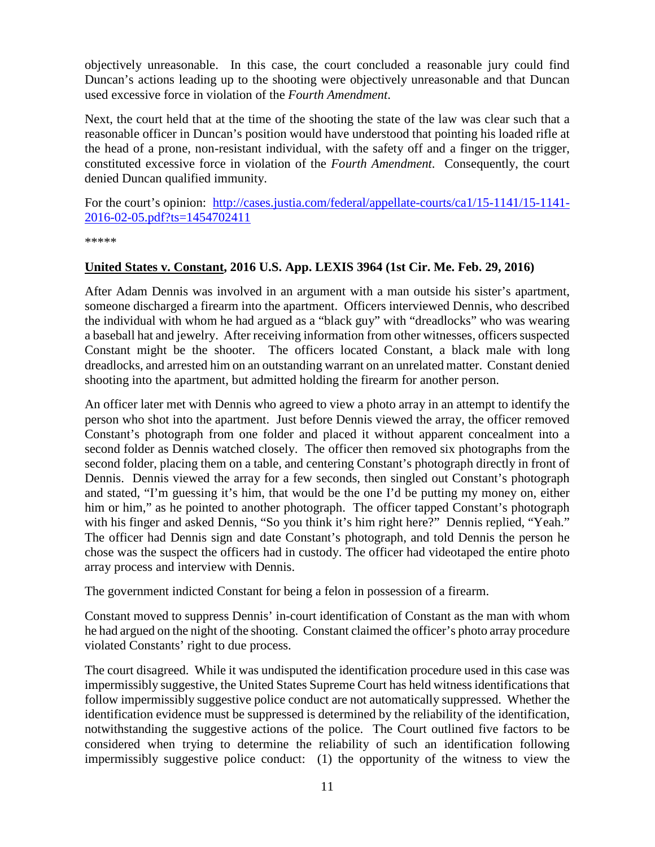objectively unreasonable. In this case, the court concluded a reasonable jury could find Duncan's actions leading up to the shooting were objectively unreasonable and that Duncan used excessive force in violation of the *Fourth Amendment*.

Next, the court held that at the time of the shooting the state of the law was clear such that a reasonable officer in Duncan's position would have understood that pointing his loaded rifle at the head of a prone, non-resistant individual, with the safety off and a finger on the trigger, constituted excessive force in violation of the *Fourth Amendment*. Consequently, the court denied Duncan qualified immunity.

For the court's opinion: [http://cases.justia.com/federal/appellate-courts/ca1/15-1141/15-1141-](http://cases.justia.com/federal/appellate-courts/ca1/15-1141/15-1141-2016-02-05.pdf?ts=1454702411) [2016-02-05.pdf?ts=1454702411](http://cases.justia.com/federal/appellate-courts/ca1/15-1141/15-1141-2016-02-05.pdf?ts=1454702411)

\*\*\*\*\*

#### <span id="page-10-0"></span>**United States v. Constant, 2016 U.S. App. LEXIS 3964 (1st Cir. Me. Feb. 29, 2016)**

After Adam Dennis was involved in an argument with a man outside his sister's apartment, someone discharged a firearm into the apartment. Officers interviewed Dennis, who described the individual with whom he had argued as a "black guy" with "dreadlocks" who was wearing a baseball hat and jewelry. After receiving information from other witnesses, officers suspected Constant might be the shooter. The officers located Constant, a black male with long dreadlocks, and arrested him on an outstanding warrant on an unrelated matter. Constant denied shooting into the apartment, but admitted holding the firearm for another person.

An officer later met with Dennis who agreed to view a photo array in an attempt to identify the person who shot into the apartment. Just before Dennis viewed the array, the officer removed Constant's photograph from one folder and placed it without apparent concealment into a second folder as Dennis watched closely. The officer then removed six photographs from the second folder, placing them on a table, and centering Constant's photograph directly in front of Dennis. Dennis viewed the array for a few seconds, then singled out Constant's photograph and stated, "I'm guessing it's him, that would be the one I'd be putting my money on, either him or him," as he pointed to another photograph. The officer tapped Constant's photograph with his finger and asked Dennis, "So you think it's him right here?" Dennis replied, "Yeah." The officer had Dennis sign and date Constant's photograph, and told Dennis the person he chose was the suspect the officers had in custody. The officer had videotaped the entire photo array process and interview with Dennis.

The government indicted Constant for being a felon in possession of a firearm.

Constant moved to suppress Dennis' in-court identification of Constant as the man with whom he had argued on the night of the shooting. Constant claimed the officer's photo array procedure violated Constants' right to due process.

The court disagreed. While it was undisputed the identification procedure used in this case was impermissibly suggestive, the United States Supreme Court has held witness identifications that follow impermissibly suggestive police conduct are not automatically suppressed. Whether the identification evidence must be suppressed is determined by the reliability of the identification, notwithstanding the suggestive actions of the police. The Court outlined five factors to be considered when trying to determine the reliability of such an identification following impermissibly suggestive police conduct: (1) the opportunity of the witness to view the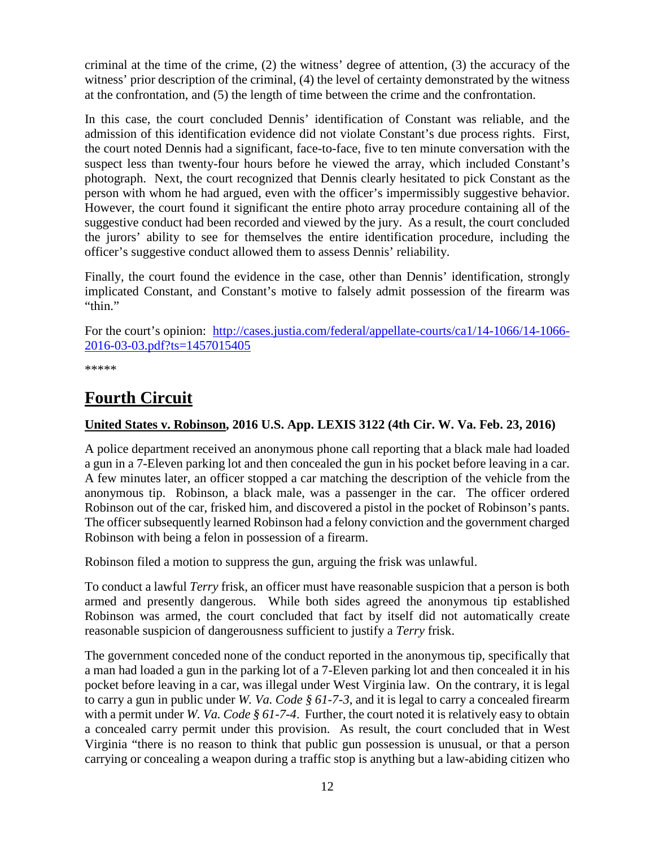criminal at the time of the crime, (2) the witness' degree of attention, (3) the accuracy of the witness' prior description of the criminal, (4) the level of certainty demonstrated by the witness at the confrontation, and (5) the length of time between the crime and the confrontation.

In this case, the court concluded Dennis' identification of Constant was reliable, and the admission of this identification evidence did not violate Constant's due process rights. First, the court noted Dennis had a significant, face-to-face, five to ten minute conversation with the suspect less than twenty-four hours before he viewed the array, which included Constant's photograph. Next, the court recognized that Dennis clearly hesitated to pick Constant as the person with whom he had argued, even with the officer's impermissibly suggestive behavior. However, the court found it significant the entire photo array procedure containing all of the suggestive conduct had been recorded and viewed by the jury. As a result, the court concluded the jurors' ability to see for themselves the entire identification procedure, including the officer's suggestive conduct allowed them to assess Dennis' reliability.

Finally, the court found the evidence in the case, other than Dennis' identification, strongly implicated Constant, and Constant's motive to falsely admit possession of the firearm was "thin."

For the court's opinion: [http://cases.justia.com/federal/appellate-courts/ca1/14-1066/14-1066-](http://cases.justia.com/federal/appellate-courts/ca1/14-1066/14-1066-2016-03-03.pdf?ts=1457015405) [2016-03-03.pdf?ts=1457015405](http://cases.justia.com/federal/appellate-courts/ca1/14-1066/14-1066-2016-03-03.pdf?ts=1457015405)

\*\*\*\*\*

# <span id="page-11-0"></span>**Fourth Circuit**

#### <span id="page-11-1"></span>**United States v. Robinson, 2016 U.S. App. LEXIS 3122 (4th Cir. W. Va. Feb. 23, 2016)**

A police department received an anonymous phone call reporting that a black male had loaded a gun in a 7-Eleven parking lot and then concealed the gun in his pocket before leaving in a car. A few minutes later, an officer stopped a car matching the description of the vehicle from the anonymous tip. Robinson, a black male, was a passenger in the car. The officer ordered Robinson out of the car, frisked him, and discovered a pistol in the pocket of Robinson's pants. The officer subsequently learned Robinson had a felony conviction and the government charged Robinson with being a felon in possession of a firearm.

Robinson filed a motion to suppress the gun, arguing the frisk was unlawful.

To conduct a lawful *Terry* frisk, an officer must have reasonable suspicion that a person is both armed and presently dangerous. While both sides agreed the anonymous tip established Robinson was armed, the court concluded that fact by itself did not automatically create reasonable suspicion of dangerousness sufficient to justify a *Terry* frisk.

The government conceded none of the conduct reported in the anonymous tip, specifically that a man had loaded a gun in the parking lot of a 7-Eleven parking lot and then concealed it in his pocket before leaving in a car, was illegal under West Virginia law. On the contrary, it is legal to carry a gun in public under *W. Va. Code § 61-7-3*, and it is legal to carry a concealed firearm with a permit under *W. Va. Code § 61-7-4*. Further, the court noted it is relatively easy to obtain a concealed carry permit under this provision. As result, the court concluded that in West Virginia "there is no reason to think that public gun possession is unusual, or that a person carrying or concealing a weapon during a traffic stop is anything but a law-abiding citizen who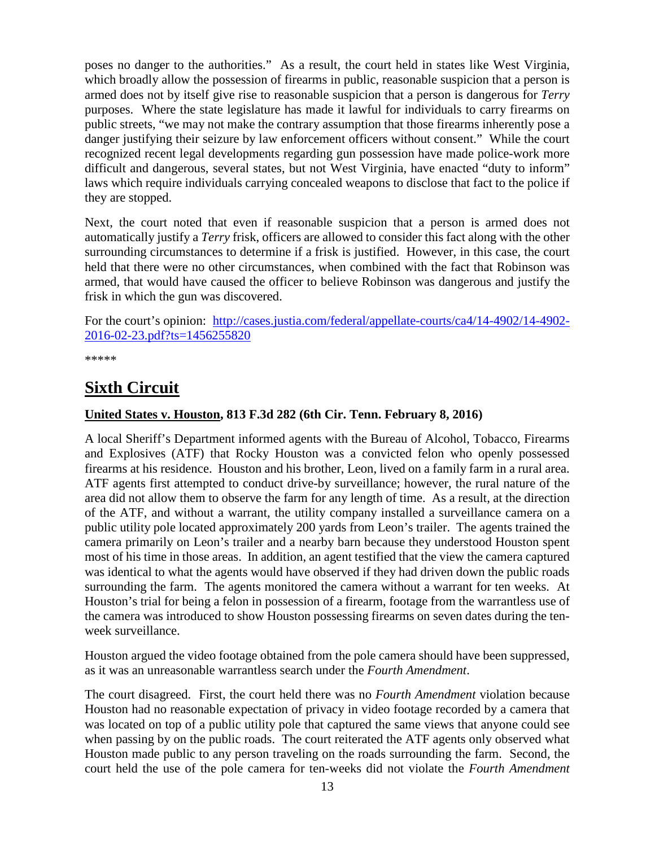poses no danger to the authorities." As a result, the court held in states like West Virginia, which broadly allow the possession of firearms in public, reasonable suspicion that a person is armed does not by itself give rise to reasonable suspicion that a person is dangerous for *Terry*  purposes. Where the state legislature has made it lawful for individuals to carry firearms on public streets, "we may not make the contrary assumption that those firearms inherently pose a danger justifying their seizure by law enforcement officers without consent." While the court recognized recent legal developments regarding gun possession have made police-work more difficult and dangerous, several states, but not West Virginia, have enacted "duty to inform" laws which require individuals carrying concealed weapons to disclose that fact to the police if they are stopped.

Next, the court noted that even if reasonable suspicion that a person is armed does not automatically justify a *Terry* frisk, officers are allowed to consider this fact along with the other surrounding circumstances to determine if a frisk is justified. However, in this case, the court held that there were no other circumstances, when combined with the fact that Robinson was armed, that would have caused the officer to believe Robinson was dangerous and justify the frisk in which the gun was discovered.

For the court's opinion: [http://cases.justia.com/federal/appellate-courts/ca4/14-4902/14-4902-](http://cases.justia.com/federal/appellate-courts/ca4/14-4902/14-4902-2016-02-23.pdf?ts=1456255820) [2016-02-23.pdf?ts=1456255820](http://cases.justia.com/federal/appellate-courts/ca4/14-4902/14-4902-2016-02-23.pdf?ts=1456255820)

\*\*\*\*\*

# <span id="page-12-0"></span>**Sixth Circuit**

#### <span id="page-12-1"></span>**United States v. Houston, 813 F.3d 282 (6th Cir. Tenn. February 8, 2016)**

A local Sheriff's Department informed agents with the Bureau of Alcohol, Tobacco, Firearms and Explosives (ATF) that Rocky Houston was a convicted felon who openly possessed firearms at his residence. Houston and his brother, Leon, lived on a family farm in a rural area. ATF agents first attempted to conduct drive-by surveillance; however, the rural nature of the area did not allow them to observe the farm for any length of time. As a result, at the direction of the ATF, and without a warrant, the utility company installed a surveillance camera on a public utility pole located approximately 200 yards from Leon's trailer. The agents trained the camera primarily on Leon's trailer and a nearby barn because they understood Houston spent most of his time in those areas. In addition, an agent testified that the view the camera captured was identical to what the agents would have observed if they had driven down the public roads surrounding the farm. The agents monitored the camera without a warrant for ten weeks. At Houston's trial for being a felon in possession of a firearm, footage from the warrantless use of the camera was introduced to show Houston possessing firearms on seven dates during the tenweek surveillance.

Houston argued the video footage obtained from the pole camera should have been suppressed, as it was an unreasonable warrantless search under the *Fourth Amendment*.

The court disagreed. First, the court held there was no *Fourth Amendment* violation because Houston had no reasonable expectation of privacy in video footage recorded by a camera that was located on top of a public utility pole that captured the same views that anyone could see when passing by on the public roads. The court reiterated the ATF agents only observed what Houston made public to any person traveling on the roads surrounding the farm. Second, the court held the use of the pole camera for ten-weeks did not violate the *Fourth Amendment*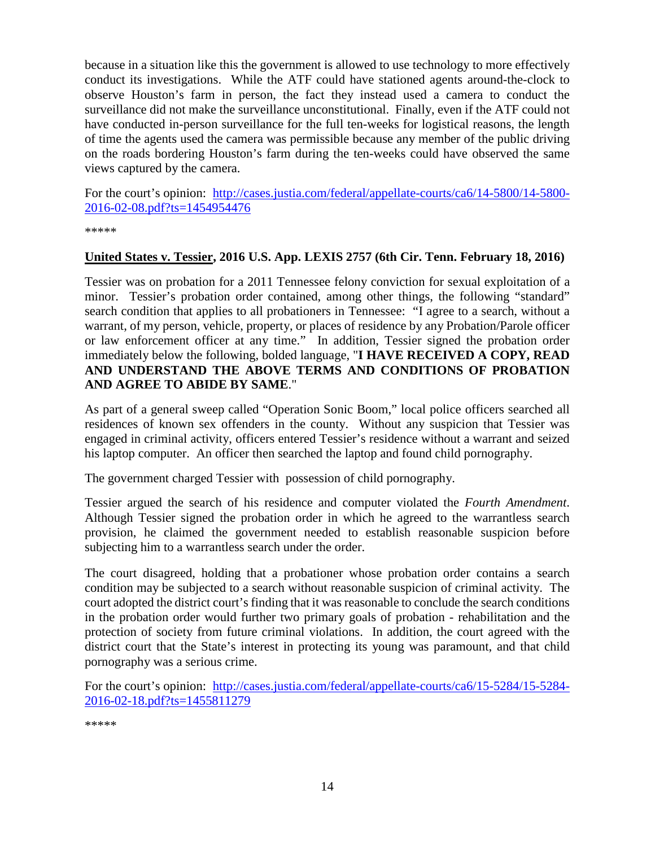because in a situation like this the government is allowed to use technology to more effectively conduct its investigations. While the ATF could have stationed agents around-the-clock to observe Houston's farm in person, the fact they instead used a camera to conduct the surveillance did not make the surveillance unconstitutional. Finally, even if the ATF could not have conducted in-person surveillance for the full ten-weeks for logistical reasons, the length of time the agents used the camera was permissible because any member of the public driving on the roads bordering Houston's farm during the ten-weeks could have observed the same views captured by the camera.

For the court's opinion: [http://cases.justia.com/federal/appellate-courts/ca6/14-5800/14-5800-](http://cases.justia.com/federal/appellate-courts/ca6/14-5800/14-5800-2016-02-08.pdf?ts=1454954476) [2016-02-08.pdf?ts=1454954476](http://cases.justia.com/federal/appellate-courts/ca6/14-5800/14-5800-2016-02-08.pdf?ts=1454954476)

\*\*\*\*\*

#### <span id="page-13-0"></span>**United States v. Tessier, 2016 U.S. App. LEXIS 2757 (6th Cir. Tenn. February 18, 2016)**

Tessier was on probation for a 2011 Tennessee felony conviction for sexual exploitation of a minor. Tessier's probation order contained, among other things, the following "standard" search condition that applies to all probationers in Tennessee: "I agree to a search, without a warrant, of my person, vehicle, property, or places of residence by any Probation/Parole officer or law enforcement officer at any time." In addition, Tessier signed the probation order immediately below the following, bolded language, "**I HAVE RECEIVED A COPY, READ AND UNDERSTAND THE ABOVE TERMS AND CONDITIONS OF PROBATION AND AGREE TO ABIDE BY SAME**."

As part of a general sweep called "Operation Sonic Boom," local police officers searched all residences of known sex offenders in the county. Without any suspicion that Tessier was engaged in criminal activity, officers entered Tessier's residence without a warrant and seized his laptop computer. An officer then searched the laptop and found child pornography.

The government charged Tessier with possession of child pornography.

Tessier argued the search of his residence and computer violated the *Fourth Amendment*. Although Tessier signed the probation order in which he agreed to the warrantless search provision, he claimed the government needed to establish reasonable suspicion before subjecting him to a warrantless search under the order.

The court disagreed, holding that a probationer whose probation order contains a search condition may be subjected to a search without reasonable suspicion of criminal activity. The court adopted the district court's finding that it was reasonable to conclude the search conditions in the probation order would further two primary goals of probation - rehabilitation and the protection of society from future criminal violations. In addition, the court agreed with the district court that the State's interest in protecting its young was paramount, and that child pornography was a serious crime.

For the court's opinion: [http://cases.justia.com/federal/appellate-courts/ca6/15-5284/15-5284-](http://cases.justia.com/federal/appellate-courts/ca6/15-5284/15-5284-2016-02-18.pdf?ts=1455811279) [2016-02-18.pdf?ts=1455811279](http://cases.justia.com/federal/appellate-courts/ca6/15-5284/15-5284-2016-02-18.pdf?ts=1455811279)

\*\*\*\*\*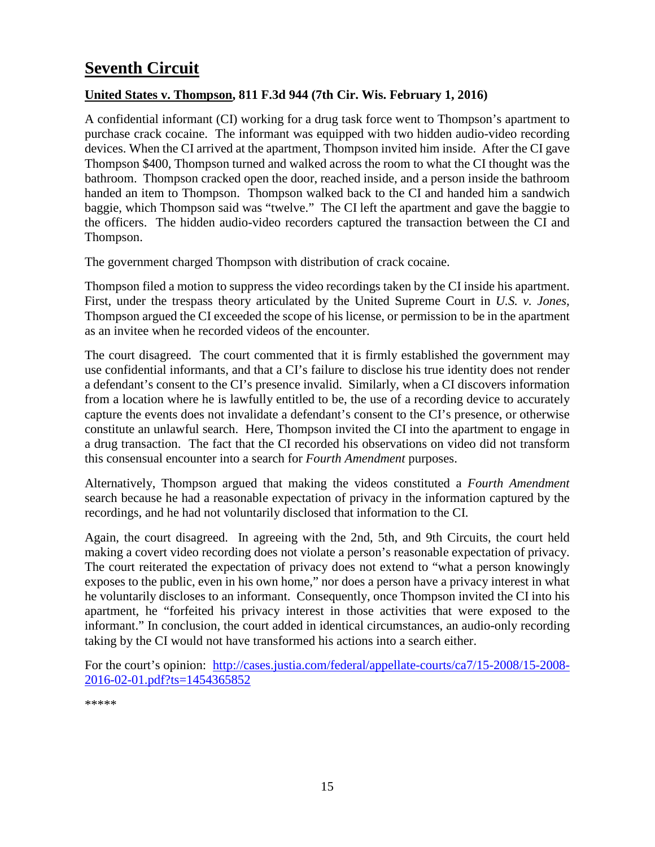# <span id="page-14-0"></span>**Seventh Circuit**

#### <span id="page-14-1"></span>**United States v. Thompson, 811 F.3d 944 (7th Cir. Wis. February 1, 2016)**

A confidential informant (CI) working for a drug task force went to Thompson's apartment to purchase crack cocaine. The informant was equipped with two hidden audio-video recording devices. When the CI arrived at the apartment, Thompson invited him inside. After the CI gave Thompson \$400, Thompson turned and walked across the room to what the CI thought was the bathroom. Thompson cracked open the door, reached inside, and a person inside the bathroom handed an item to Thompson. Thompson walked back to the CI and handed him a sandwich baggie, which Thompson said was "twelve." The CI left the apartment and gave the baggie to the officers. The hidden audio-video recorders captured the transaction between the CI and Thompson.

The government charged Thompson with distribution of crack cocaine.

Thompson filed a motion to suppress the video recordings taken by the CI inside his apartment. First, under the trespass theory articulated by the United Supreme Court in *U.S. v. Jones,* Thompson argued the CI exceeded the scope of his license, or permission to be in the apartment as an invitee when he recorded videos of the encounter.

The court disagreed. The court commented that it is firmly established the government may use confidential informants, and that a CI's failure to disclose his true identity does not render a defendant's consent to the CI's presence invalid. Similarly, when a CI discovers information from a location where he is lawfully entitled to be, the use of a recording device to accurately capture the events does not invalidate a defendant's consent to the CI's presence, or otherwise constitute an unlawful search. Here, Thompson invited the CI into the apartment to engage in a drug transaction. The fact that the CI recorded his observations on video did not transform this consensual encounter into a search for *Fourth Amendment* purposes.

Alternatively, Thompson argued that making the videos constituted a *Fourth Amendment*  search because he had a reasonable expectation of privacy in the information captured by the recordings, and he had not voluntarily disclosed that information to the CI.

Again, the court disagreed. In agreeing with the 2nd, 5th, and 9th Circuits, the court held making a covert video recording does not violate a person's reasonable expectation of privacy. The court reiterated the expectation of privacy does not extend to "what a person knowingly exposes to the public, even in his own home," nor does a person have a privacy interest in what he voluntarily discloses to an informant. Consequently, once Thompson invited the CI into his apartment, he "forfeited his privacy interest in those activities that were exposed to the informant." In conclusion, the court added in identical circumstances, an audio-only recording taking by the CI would not have transformed his actions into a search either.

For the court's opinion: [http://cases.justia.com/federal/appellate-courts/ca7/15-2008/15-2008-](http://cases.justia.com/federal/appellate-courts/ca7/15-2008/15-2008-2016-02-01.pdf?ts=1454365852) [2016-02-01.pdf?ts=1454365852](http://cases.justia.com/federal/appellate-courts/ca7/15-2008/15-2008-2016-02-01.pdf?ts=1454365852)

\*\*\*\*\*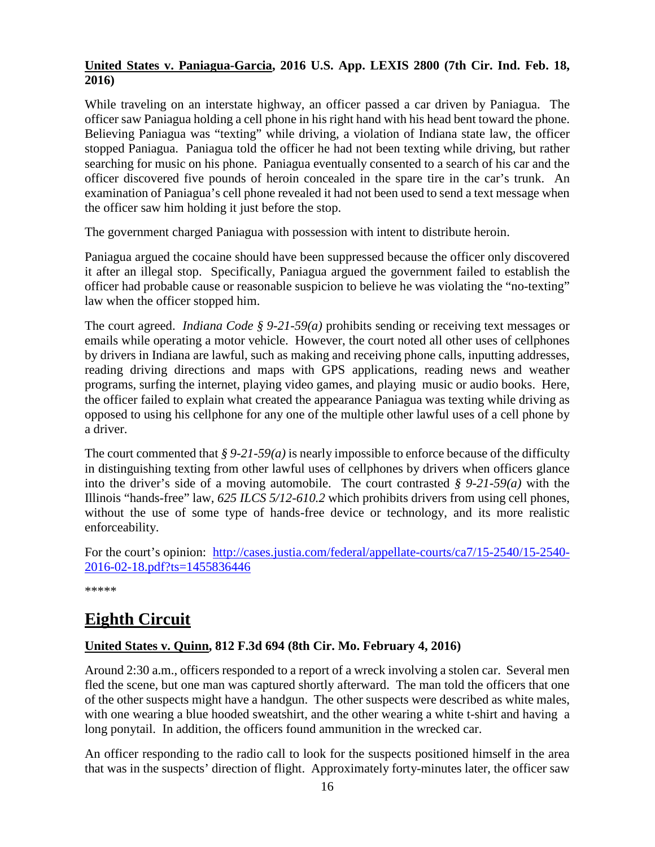#### <span id="page-15-0"></span>**United States v. Paniagua-Garcia, 2016 U.S. App. LEXIS 2800 (7th Cir. Ind. Feb. 18, 2016)**

While traveling on an interstate highway, an officer passed a car driven by Paniagua. The officer saw Paniagua holding a cell phone in his right hand with his head bent toward the phone. Believing Paniagua was "texting" while driving, a violation of Indiana state law, the officer stopped Paniagua. Paniagua told the officer he had not been texting while driving, but rather searching for music on his phone. Paniagua eventually consented to a search of his car and the officer discovered five pounds of heroin concealed in the spare tire in the car's trunk. An examination of Paniagua's cell phone revealed it had not been used to send a text message when the officer saw him holding it just before the stop.

The government charged Paniagua with possession with intent to distribute heroin.

Paniagua argued the cocaine should have been suppressed because the officer only discovered it after an illegal stop. Specifically, Paniagua argued the government failed to establish the officer had probable cause or reasonable suspicion to believe he was violating the "no-texting" law when the officer stopped him.

The court agreed. *Indiana Code § 9-21-59(a)* prohibits sending or receiving text messages or emails while operating a motor vehicle. However, the court noted all other uses of cellphones by drivers in Indiana are lawful, such as making and receiving phone calls, inputting addresses, reading driving directions and maps with GPS applications, reading news and weather programs, surfing the internet, playing video games, and playing music or audio books. Here, the officer failed to explain what created the appearance Paniagua was texting while driving as opposed to using his cellphone for any one of the multiple other lawful uses of a cell phone by a driver.

The court commented that  $\frac{6}{5}$  9-21-59(*a*) is nearly impossible to enforce because of the difficulty in distinguishing texting from other lawful uses of cellphones by drivers when officers glance into the driver's side of a moving automobile. The court contrasted *§ 9-21-59(a)* with the Illinois "hands-free" law, *625 ILCS 5/12-610.2* which prohibits drivers from using cell phones, without the use of some type of hands-free device or technology, and its more realistic enforceability.

For the court's opinion: [http://cases.justia.com/federal/appellate-courts/ca7/15-2540/15-2540-](http://cases.justia.com/federal/appellate-courts/ca7/15-2540/15-2540-2016-02-18.pdf?ts=1455836446) [2016-02-18.pdf?ts=1455836446](http://cases.justia.com/federal/appellate-courts/ca7/15-2540/15-2540-2016-02-18.pdf?ts=1455836446)

\*\*\*\*\*

# <span id="page-15-1"></span>**Eighth Circuit**

#### <span id="page-15-2"></span>**United States v. Quinn, 812 F.3d 694 (8th Cir. Mo. February 4, 2016)**

Around 2:30 a.m., officers responded to a report of a wreck involving a stolen car. Several men fled the scene, but one man was captured shortly afterward. The man told the officers that one of the other suspects might have a handgun. The other suspects were described as white males, with one wearing a blue hooded sweatshirt, and the other wearing a white t-shirt and having a long ponytail. In addition, the officers found ammunition in the wrecked car.

An officer responding to the radio call to look for the suspects positioned himself in the area that was in the suspects' direction of flight. Approximately forty-minutes later, the officer saw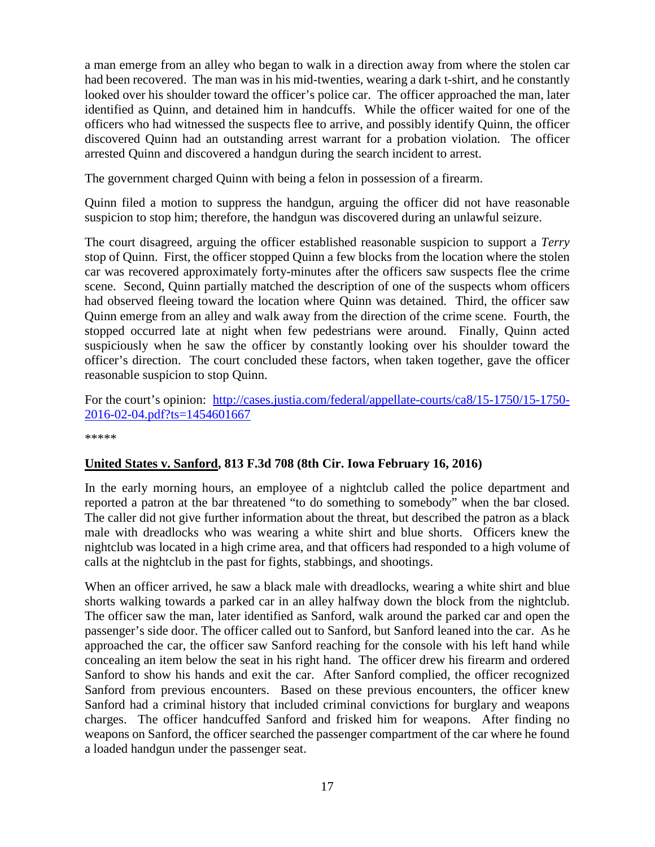a man emerge from an alley who began to walk in a direction away from where the stolen car had been recovered. The man was in his mid-twenties, wearing a dark t-shirt, and he constantly looked over his shoulder toward the officer's police car. The officer approached the man, later identified as Quinn, and detained him in handcuffs. While the officer waited for one of the officers who had witnessed the suspects flee to arrive, and possibly identify Quinn, the officer discovered Quinn had an outstanding arrest warrant for a probation violation. The officer arrested Quinn and discovered a handgun during the search incident to arrest.

The government charged Quinn with being a felon in possession of a firearm.

Quinn filed a motion to suppress the handgun, arguing the officer did not have reasonable suspicion to stop him; therefore, the handgun was discovered during an unlawful seizure.

The court disagreed, arguing the officer established reasonable suspicion to support a *Terry* stop of Quinn. First, the officer stopped Quinn a few blocks from the location where the stolen car was recovered approximately forty-minutes after the officers saw suspects flee the crime scene. Second, Quinn partially matched the description of one of the suspects whom officers had observed fleeing toward the location where Quinn was detained. Third, the officer saw Quinn emerge from an alley and walk away from the direction of the crime scene. Fourth, the stopped occurred late at night when few pedestrians were around. Finally, Quinn acted suspiciously when he saw the officer by constantly looking over his shoulder toward the officer's direction. The court concluded these factors, when taken together, gave the officer reasonable suspicion to stop Quinn.

For the court's opinion: [http://cases.justia.com/federal/appellate-courts/ca8/15-1750/15-1750-](http://cases.justia.com/federal/appellate-courts/ca8/15-1750/15-1750-2016-02-04.pdf?ts=1454601667) [2016-02-04.pdf?ts=1454601667](http://cases.justia.com/federal/appellate-courts/ca8/15-1750/15-1750-2016-02-04.pdf?ts=1454601667)

\*\*\*\*\*

#### <span id="page-16-0"></span>**United States v. Sanford, 813 F.3d 708 (8th Cir. Iowa February 16, 2016)**

In the early morning hours, an employee of a nightclub called the police department and reported a patron at the bar threatened "to do something to somebody" when the bar closed. The caller did not give further information about the threat, but described the patron as a black male with dreadlocks who was wearing a white shirt and blue shorts. Officers knew the nightclub was located in a high crime area, and that officers had responded to a high volume of calls at the nightclub in the past for fights, stabbings, and shootings.

When an officer arrived, he saw a black male with dreadlocks, wearing a white shirt and blue shorts walking towards a parked car in an alley halfway down the block from the nightclub. The officer saw the man, later identified as Sanford, walk around the parked car and open the passenger's side door. The officer called out to Sanford, but Sanford leaned into the car. As he approached the car, the officer saw Sanford reaching for the console with his left hand while concealing an item below the seat in his right hand. The officer drew his firearm and ordered Sanford to show his hands and exit the car. After Sanford complied, the officer recognized Sanford from previous encounters. Based on these previous encounters, the officer knew Sanford had a criminal history that included criminal convictions for burglary and weapons charges. The officer handcuffed Sanford and frisked him for weapons. After finding no weapons on Sanford, the officer searched the passenger compartment of the car where he found a loaded handgun under the passenger seat.